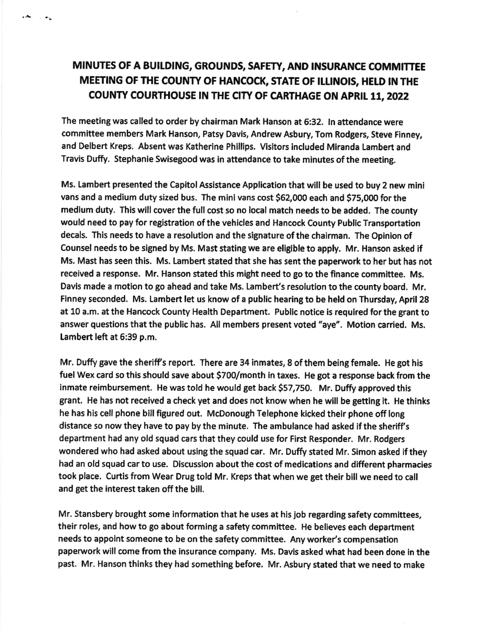## MINUTES OF A BUILDING, GROUNDS, SAFETY, AND INSURANCE COMMITTEE MEETING OF THE COUNTY OF HANCOCK, STATE OF ILLINOIS, HELD IN THE COUNTY COURTHOUSE IN THE CITY OF CARTHAGE ON APRIL 11, 2022

А,  $\mathbf{r}$  , we define

> The meeting was called to order by chairman Mark Hanson at 6:32, ln attendance were committee members Mark Hanson, Patsy Davis, Andrew Asbury, Tom Rodgers, Steve Finney, and Delbert Kreps. Absent was Katherine Phillips. Visitors included Miranda Lambert and Travis Duffy. Stephanle Swisegood was in attendance to take minutes of the meeting.

Ms. Lambert presented the Capitol Assistance Application that will be used to buy 2 new mini vans and a medium duty sized bus. The mini vans cost \$62,000 each and \$75,000 for the medium duty. This will cover the full cost so no local match needs to be added. The county would need to pay for registration of the vehicles and Hancock County Public Transportation decals. This needs to have a resolution and the signature of the chairman. The Opinion of Counsel needs to be signed by Ms. Mast stating we are eligible to apply. Mr. Hanson asked if Ms. Mast has seen this, Ms, Lambert stated that she has sent the paperwork to her but has not received a response. Mr. Hanson stated this might need to go to the finance committee. Ms. Davis made a motion to go ahead and take Ms. Lambert's resolution to the county board. Mr. Finney seconded. Ms. Lambert let us know of a public hearing to be held on Thursday, April 28 at 10 a.m. at the Hancock County Health Department. Public notice is required for the grant to answer questions that the public has. All members present voted "aye". Motion carried. Ms. Lambert left at 6:39 p.m.

Mr. Duffy gave the sheriff's report. There are 34 inmates, 8 of them being female. He got his fuel Wex card so this should save about \$700/month in taxes. He got a response back from the inmate reimbursement. He was told he would get back \$57,750. Mr. Duffy approved this grant. He has not received a check yet and does not know when he will be getting it. He thinks he has hls cell phone blll figured out. McDonough Telephone kicked their phone off long distance so now they have to pay by the minute. The ambulance had asked if the sheriff's department had any old squad cars that they could use for First Responder. Mr. Rodgers wondered who had asked about using the squad car. Mr. Duffy stated Mr. Simon asked if they had an old squad car to use. Discussion about the cost of medications and different pharmacies took place. Curtis from Wear Drug told Mr. Kreps that when we get their bill we need to call and get the interest taken off the blll.

Mr. Stansbery brought some information that he uses at his job regarding safety committees, their roles, and how to go about forming a safety committee. He believes each department needs to appoint someone to be on the safety committee. Any worker's compensation paperwork will come from the insurance company. Ms. Davis asked what had been done in the past. Mr. Hanson thinks they had somethlng before, Mr. Asbury stated that we need to make